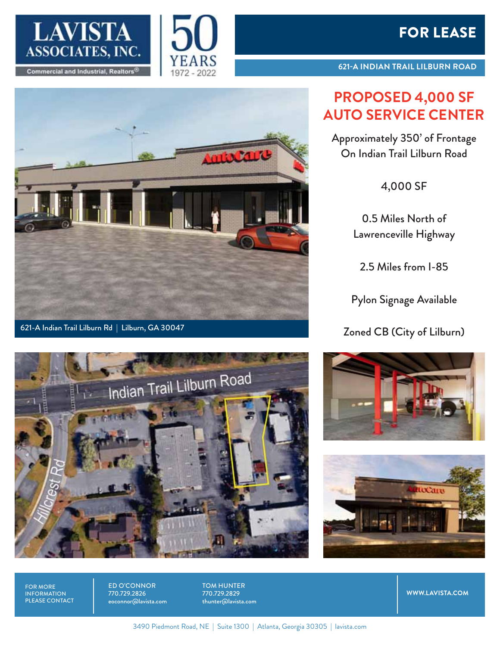

621-A Indian Trail Lilburn Rd | Lilburn, GA 30047





**621-A INDIAN TRAIL LILBURN ROAD**

## **PROPOSED 4,000 SF AUTO SERVICE CENTER**

Approximately 350' of Frontage On Indian Trail Lilburn Road

4,000 SF

0.5 Miles North of Lawrenceville Highway

2.5 Miles from I-85

Pylon Signage Available

Zoned CB (City of Lilburn)







FOR MORE INFORMATION PLEASE CONTACT ED O'CONNOR 770.729.2826 eoconnor@lavista.com TOM HUNTER 770.729.2829 thunter@lavista.com

**WWW.LAVISTA.COM**

3490 Piedmont Road, NE | Suite 1300 | Atlanta, Georgia 30305 | lavista.com